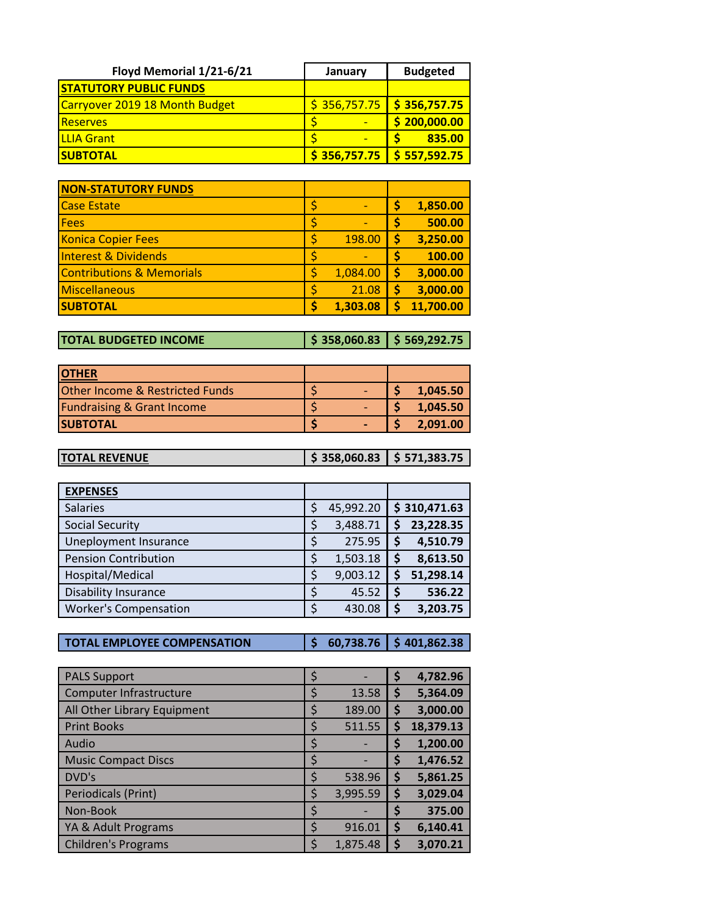| Floyd Memorial 1/21-6/21       | January      | <b>Budgeted</b>          |
|--------------------------------|--------------|--------------------------|
| <b>STATUTORY PUBLIC FUNDS</b>  |              |                          |
| Carryover 2019 18 Month Budget | \$356,757.75 | $\frac{1}{5}$ 356,757.75 |
| <b>Reserves</b>                |              | \$200,000.00             |
| <b>ILLIA Grant</b>             |              | 835.00                   |
| <b>SUBTOTAL</b>                | \$356,757.75 | \$557,592.75             |

| <b>NON-STATUTORY FUNDS</b>           |                |    |           |
|--------------------------------------|----------------|----|-----------|
| <b>Case Estate</b>                   | \$             |    | 1,850.00  |
| <b>Fees</b>                          | \$             | S  | 500.00    |
| <b>Konica Copier Fees</b>            | \$<br>198.00   | Ś  | 3,250.00  |
| Interest & Dividends                 | \$             |    | 100.00    |
| <b>Contributions &amp; Memorials</b> | \$<br>1,084.00 | S  | 3,000.00  |
| Miscellaneous                        | \$<br>21.08    | \$ | 3,000.00  |
| <b>SUBTOTAL</b>                      | \$<br>1,303.08 |    | 11,700.00 |

**TOTAL BUDGETED INCOME \$ 358,060.83 \$ 569,292.75**

| <b>IOTHER</b>                              |  |          |
|--------------------------------------------|--|----------|
| <b>Other Income &amp; Restricted Funds</b> |  | 1,045.50 |
| <b>Fundraising &amp; Grant Income</b>      |  | 1.045.50 |
| <b>ISUBTOTAL</b>                           |  | 2.091.00 |

| <b>TOTAL REVENUE</b> | $\frac{1}{2}$ \$ 358,060.83 \$ 571,383.75 |  |
|----------------------|-------------------------------------------|--|
|                      |                                           |  |

| <b>EXPENSES</b>              |                 |    |              |
|------------------------------|-----------------|----|--------------|
| <b>Salaries</b>              | \$<br>45,992.20 |    | \$310,471.63 |
| <b>Social Security</b>       | \$<br>3,488.71  |    | 23,228.35    |
| Uneployment Insurance        | \$<br>275.95    | \$ | 4,510.79     |
| <b>Pension Contribution</b>  | \$<br>1,503.18  | \$ | 8,613.50     |
| Hospital/Medical             | \$<br>9,003.12  | S  | 51,298.14    |
| <b>Disability Insurance</b>  | \$<br>45.52     | \$ | 536.22       |
| <b>Worker's Compensation</b> | \$<br>430.08    | \$ | 3,203.75     |

**TOTAL EMPLOYEE COMPENSATION \$ 60,738.76 \$ 401,862.38**

| <b>PALS Support</b>         | $\varsigma$ |          | \$ | 4,782.96  |
|-----------------------------|-------------|----------|----|-----------|
| Computer Infrastructure     | \$          | 13.58    | Ş  | 5,364.09  |
| All Other Library Equipment | S           | 189.00   | S  | 3,000.00  |
| <b>Print Books</b>          | \$          | 511.55   | \$ | 18,379.13 |
| Audio                       | \$          |          | \$ | 1,200.00  |
| <b>Music Compact Discs</b>  | Ş           |          | Ş  | 1,476.52  |
| DVD's                       | \$          | 538.96   | \$ | 5,861.25  |
| Periodicals (Print)         | Ś           | 3,995.59 | \$ | 3,029.04  |
| Non-Book                    | Ş           |          |    | 375.00    |
| YA & Adult Programs         | Ś           | 916.01   | \$ | 6,140.41  |
| <b>Children's Programs</b>  |             | 1,875.48 |    | 3,070.21  |